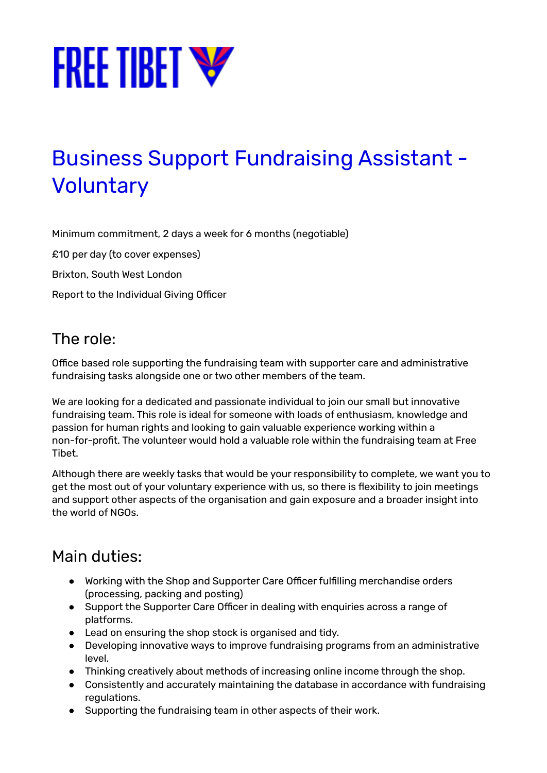

# Business Support Fundraising Assistant - **Voluntary**

Minimum commitment, 2 days a week for 6 months (negotiable)

£10 per day (to cover expenses)

Brixton, South West London

Report to the Individual Giving Officer

## The role:

Office based role supporting the fundraising team with supporter care and administrative fundraising tasks alongside one or two other members of the team.

We are looking for a dedicated and passionate individual to join our small but innovative fundraising team. This role is ideal for someone with loads of enthusiasm, knowledge and passion for human rights and looking to gain valuable experience working within a non-for-profit. The volunteer would hold a valuable role within the fundraising team at Free Tibet.

Although there are weekly tasks that would be your responsibility to complete, we want you to get the most out of your voluntary experience with us, so there is flexibility to join meetings and support other aspects of the organisation and gain exposure and a broader insight into the world of NGOs.

#### Main duties:

- Working with the Shop and Supporter Care Officer fulfilling merchandise orders (processing, packing and posting)
- Support the Supporter Care Officer in dealing with enquiries across a range of platforms.
- Lead on ensuring the shop stock is organised and tidy.
- Developing innovative ways to improve fundraising programs from an administrative level.
- Thinking creatively about methods of increasing online income through the shop.
- Consistently and accurately maintaining the database in accordance with fundraising regulations.
- Supporting the fundraising team in other aspects of their work.